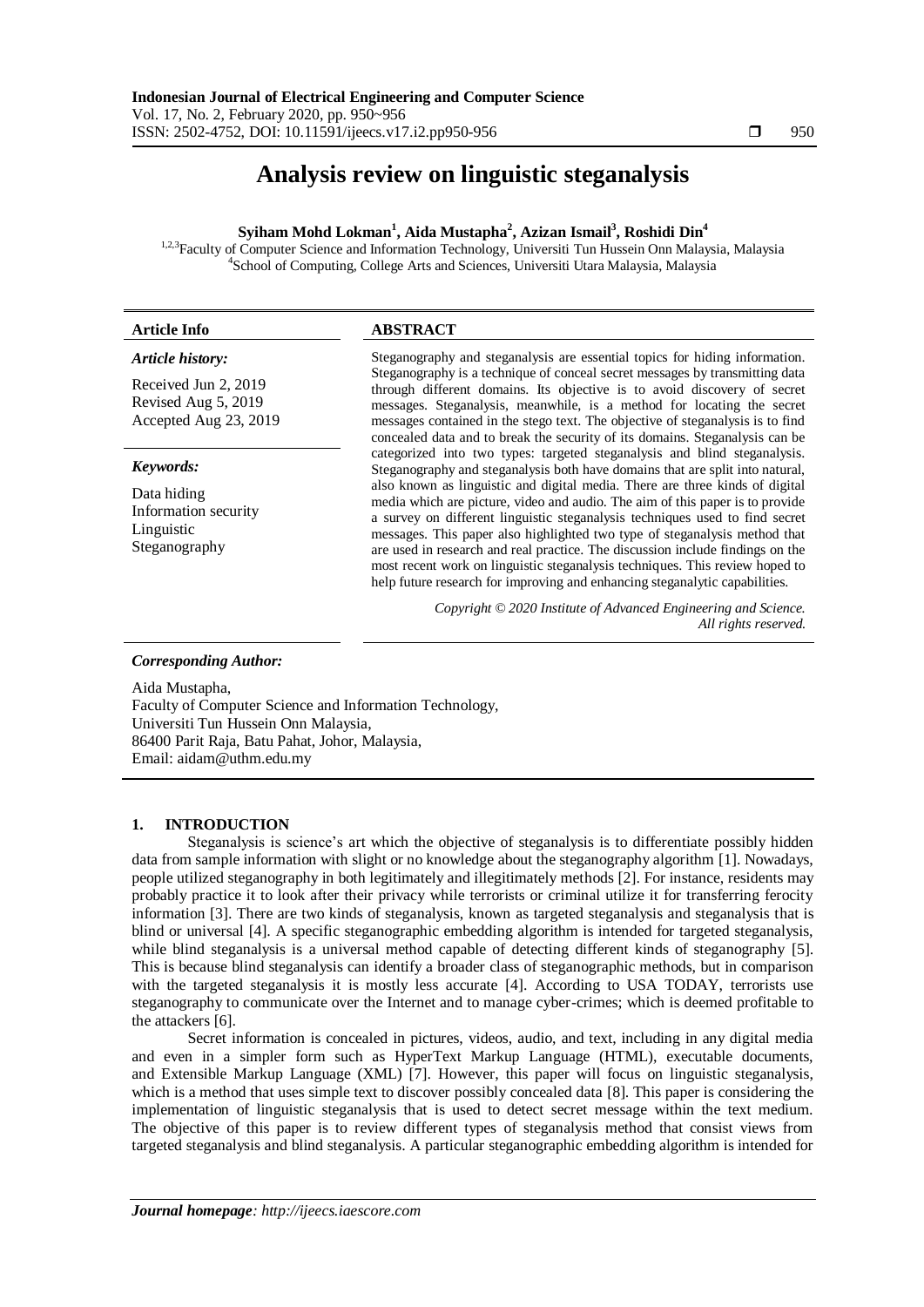# **Analysis review on linguistic steganalysis**

## **Syiham Mohd Lokman<sup>1</sup> , Aida Mustapha<sup>2</sup> , Azizan Ismail<sup>3</sup> , Roshidi Din<sup>4</sup>**

<sup>1,2,3</sup>Faculty of Computer Science and Information Technology, Universiti Tun Hussein Onn Malaysia, Malaysia 4 School of Computing, College Arts and Sciences, Universiti Utara Malaysia, Malaysia

| <b>Article Info</b>                                                  | <b>ABSTRACT</b>                                                                                                                                                                                                                                                                                                                                                                                      |
|----------------------------------------------------------------------|------------------------------------------------------------------------------------------------------------------------------------------------------------------------------------------------------------------------------------------------------------------------------------------------------------------------------------------------------------------------------------------------------|
| Article history:                                                     | Steganography and steganalysis are essential topics for hiding information.                                                                                                                                                                                                                                                                                                                          |
| Received Jun 2, 2019<br>Revised Aug 5, 2019<br>Accepted Aug 23, 2019 | Steganography is a technique of conceal secret messages by transmitting data<br>through different domains. Its objective is to avoid discovery of secret<br>messages. Steganalysis, meanwhile, is a method for locating the secret<br>messages contained in the stego text. The objective of steganalysis is to find<br>concealed data and to break the security of its domains. Steganalysis can be |
| Keywords:                                                            | categorized into two types: targeted steganalysis and blind steganalysis.<br>Steganography and steganalysis both have domains that are split into natural,                                                                                                                                                                                                                                           |
| Data hiding                                                          | also known as linguistic and digital media. There are three kinds of digital<br>media which are picture, video and audio. The aim of this paper is to provide                                                                                                                                                                                                                                        |

Information security Linguistic Steganography

e, video and audio. The aim of this paper is to a survey on different linguistic steganalysis techniques used to find secret messages. This paper also highlighted two type of steganalysis method that are used in research and real practice. The discussion include findings on the most recent work on linguistic steganalysis techniques. This review hoped to help future research for improving and enhancing steganalytic capabilities.

*Copyright © 2020 Institute of Advanced Engineering and Science. All rights reserved.*

*Corresponding Author:*

Aida Mustapha, Faculty of Computer Science and Information Technology, Universiti Tun Hussein Onn Malaysia, 86400 Parit Raja, Batu Pahat, Johor, Malaysia, Email: aidam@uthm.edu.my

## **1. INTRODUCTION**

Steganalysis is science's art which the objective of steganalysis is to differentiate possibly hidden data from sample information with slight or no knowledge about the steganography algorithm [1]. Nowadays, people utilized steganography in both legitimately and illegitimately methods [2]. For instance, residents may probably practice it to look after their privacy while terrorists or criminal utilize it for transferring ferocity information [3]. There are two kinds of steganalysis, known as targeted steganalysis and steganalysis that is blind or universal [4]. A specific steganographic embedding algorithm is intended for targeted steganalysis, while blind steganalysis is a universal method capable of detecting different kinds of steganography [5]. This is because blind steganalysis can identify a broader class of steganographic methods, but in comparison with the targeted steganalysis it is mostly less accurate [4]. According to USA TODAY, terrorists use steganography to communicate over the Internet and to manage cyber-crimes; which is deemed profitable to the attackers [6].

Secret information is concealed in pictures, videos, audio, and text, including in any digital media and even in a simpler form such as HyperText Markup Language (HTML), executable documents, and Extensible Markup Language (XML) [7]. However, this paper will focus on linguistic steganalysis, which is a method that uses simple text to discover possibly concealed data [8]. This paper is considering the implementation of linguistic steganalysis that is used to detect secret message within the text medium. The objective of this paper is to review different types of steganalysis method that consist views from targeted steganalysis and blind steganalysis. A particular steganographic embedding algorithm is intended for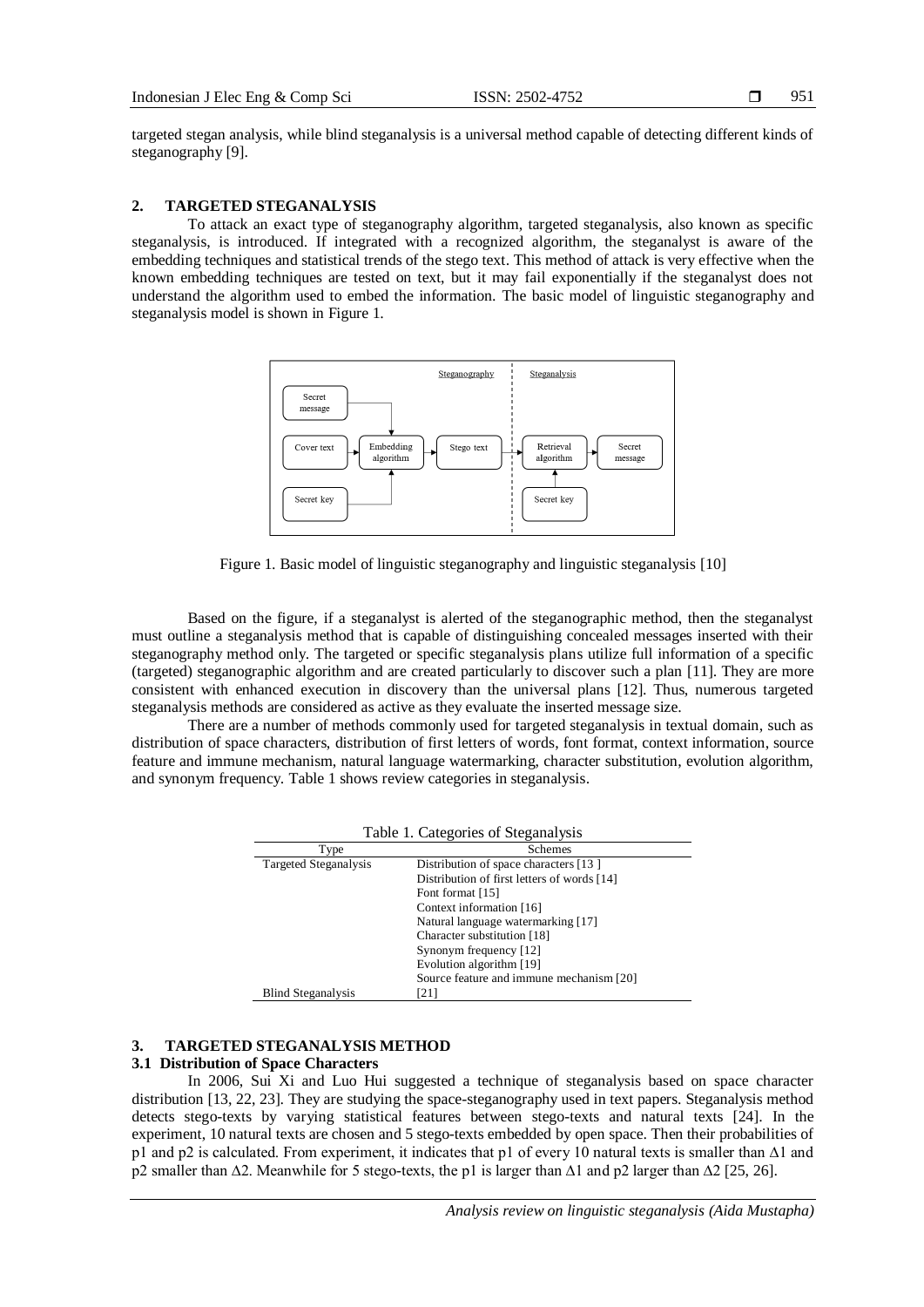targeted stegan analysis, while blind steganalysis is a universal method capable of detecting different kinds of steganography [9].

## **2. TARGETED STEGANALYSIS**

To attack an exact type of steganography algorithm, targeted steganalysis, also known as specific steganalysis, is introduced. If integrated with a recognized algorithm, the steganalyst is aware of the embedding techniques and statistical trends of the stego text. This method of attack is very effective when the known embedding techniques are tested on text, but it may fail exponentially if the steganalyst does not understand the algorithm used to embed the information. The basic model of linguistic steganography and steganalysis model is shown in Figure 1.



Figure 1. Basic model of linguistic steganography and linguistic steganalysis [10]

Based on the figure, if a steganalyst is alerted of the steganographic method, then the steganalyst must outline a steganalysis method that is capable of distinguishing concealed messages inserted with their steganography method only. The targeted or specific steganalysis plans utilize full information of a specific (targeted) steganographic algorithm and are created particularly to discover such a plan [11]. They are more consistent with enhanced execution in discovery than the universal plans [12]. Thus, numerous targeted steganalysis methods are considered as active as they evaluate the inserted message size.

There are a number of methods commonly used for targeted steganalysis in textual domain, such as distribution of space characters, distribution of first letters of words, font format, context information, source feature and immune mechanism, natural language watermarking, character substitution, evolution algorithm, and synonym frequency. Table 1 shows review categories in steganalysis.

| Table 1. Categories of Steganalysis |                                             |  |  |
|-------------------------------------|---------------------------------------------|--|--|
| Type                                | <b>Schemes</b>                              |  |  |
| Targeted Steganalysis               | Distribution of space characters [13]       |  |  |
|                                     | Distribution of first letters of words [14] |  |  |
|                                     | Font format [15]                            |  |  |
|                                     | Context information [16]                    |  |  |
|                                     | Natural language watermarking [17]          |  |  |
|                                     | Character substitution [18]                 |  |  |
|                                     | Synonym frequency [12]                      |  |  |
|                                     | Evolution algorithm [19]                    |  |  |
|                                     | Source feature and immune mechanism [20]    |  |  |
| <b>Blind Steganalysis</b>           | [21]                                        |  |  |

## **3. TARGETED STEGANALYSIS METHOD**

## **3.1 Distribution of Space Characters**

In 2006, Sui Xi and Luo Hui suggested a technique of steganalysis based on space character distribution [13, 22, 23]. They are studying the space-steganography used in text papers. Steganalysis method detects stego-texts by varying statistical features between stego-texts and natural texts [24]. In the experiment, 10 natural texts are chosen and 5 stego-texts embedded by open space. Then their probabilities of p1 and p2 is calculated. From experiment, it indicates that p1 of every 10 natural texts is smaller than ∆1 and p2 smaller than ∆2. Meanwhile for 5 stego-texts, the p1 is larger than ∆1 and p2 larger than ∆2 [25, 26].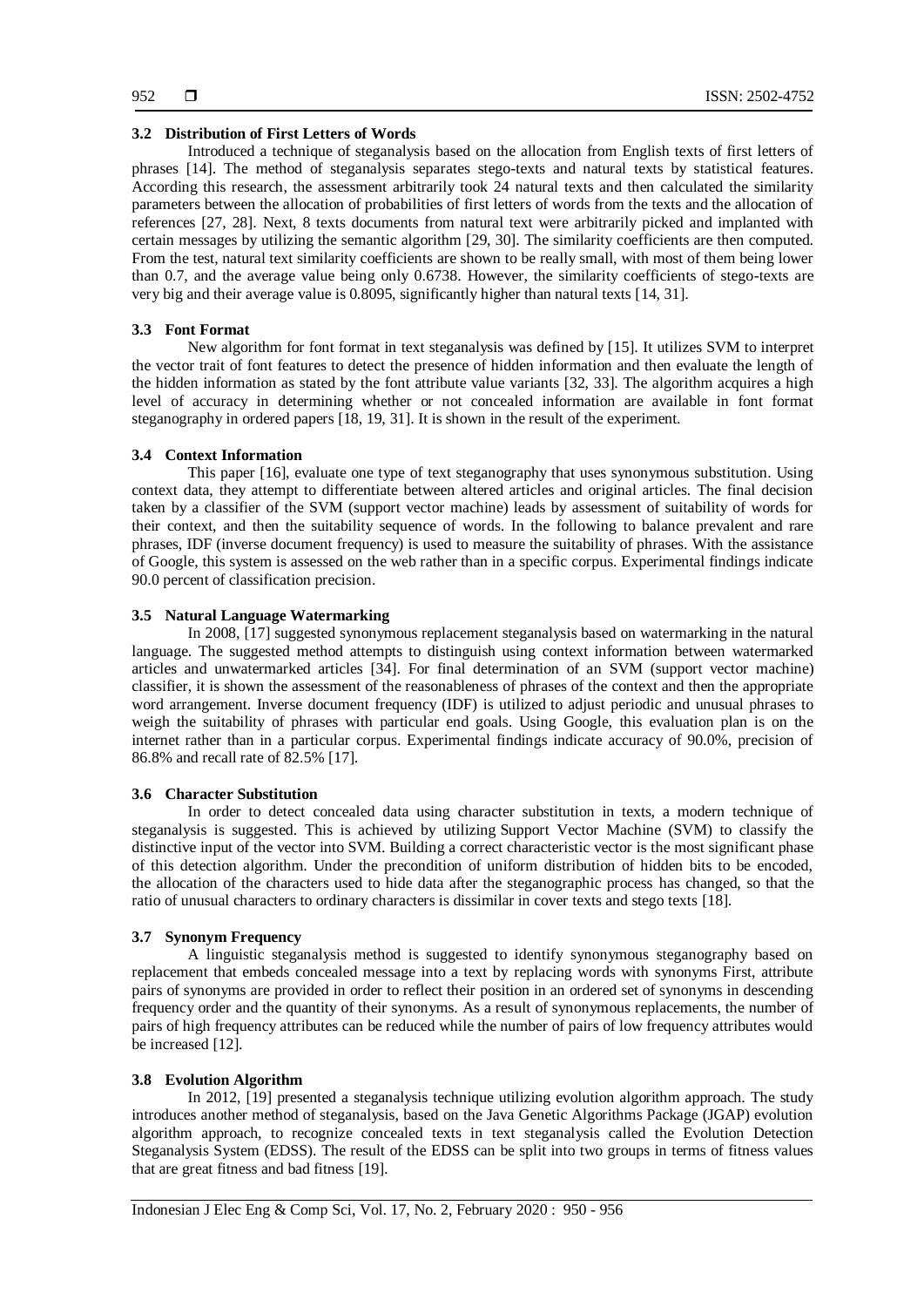## **3.2 Distribution of First Letters of Words**

Introduced a technique of steganalysis based on the allocation from English texts of first letters of phrases [14]. The method of steganalysis separates stego-texts and natural texts by statistical features. According this research, the assessment arbitrarily took 24 natural texts and then calculated the similarity parameters between the allocation of probabilities of first letters of words from the texts and the allocation of references [27, 28]. Next, 8 texts documents from natural text were arbitrarily picked and implanted with certain messages by utilizing the semantic algorithm [29, 30]. The similarity coefficients are then computed. From the test, natural text similarity coefficients are shown to be really small, with most of them being lower than 0.7, and the average value being only 0.6738. However, the similarity coefficients of stego-texts are very big and their average value is 0.8095, significantly higher than natural texts [14, 31].

## **3.3 Font Format**

New algorithm for font format in text steganalysis was defined by [15]. It utilizes SVM to interpret the vector trait of font features to detect the presence of hidden information and then evaluate the length of the hidden information as stated by the font attribute value variants [32, 33]. The algorithm acquires a high level of accuracy in determining whether or not concealed information are available in font format steganography in ordered papers [18, 19, 31]. It is shown in the result of the experiment.

## **3.4 Context Information**

This paper [16], evaluate one type of text steganography that uses synonymous substitution. Using context data, they attempt to differentiate between altered articles and original articles. The final decision taken by a classifier of the SVM (support vector machine) leads by assessment of suitability of words for their context, and then the suitability sequence of words. In the following to balance prevalent and rare phrases, IDF (inverse document frequency) is used to measure the suitability of phrases. With the assistance of Google, this system is assessed on the web rather than in a specific corpus. Experimental findings indicate 90.0 percent of classification precision.

## **3.5 Natural Language Watermarking**

In 2008, [17] suggested synonymous replacement steganalysis based on watermarking in the natural language. The suggested method attempts to distinguish using context information between watermarked articles and unwatermarked articles [34]. For final determination of an SVM (support vector machine) classifier, it is shown the assessment of the reasonableness of phrases of the context and then the appropriate word arrangement. Inverse document frequency (IDF) is utilized to adjust periodic and unusual phrases to weigh the suitability of phrases with particular end goals. Using Google, this evaluation plan is on the internet rather than in a particular corpus. Experimental findings indicate accuracy of 90.0%, precision of 86.8% and recall rate of 82.5% [17].

#### **3.6 Character Substitution**

In order to detect concealed data using character substitution in texts, a modern technique of steganalysis is suggested. This is achieved by utilizing Support Vector Machine (SVM) to classify the distinctive input of the vector into SVM. Building a correct characteristic vector is the most significant phase of this detection algorithm. Under the precondition of uniform distribution of hidden bits to be encoded, the allocation of the characters used to hide data after the steganographic process has changed, so that the ratio of unusual characters to ordinary characters is dissimilar in cover texts and stego texts [18].

#### **3.7 Synonym Frequency**

A linguistic steganalysis method is suggested to identify synonymous steganography based on replacement that embeds concealed message into a text by replacing words with synonyms First, attribute pairs of synonyms are provided in order to reflect their position in an ordered set of synonyms in descending frequency order and the quantity of their synonyms. As a result of synonymous replacements, the number of pairs of high frequency attributes can be reduced while the number of pairs of low frequency attributes would be increased [12].

#### **3.8 Evolution Algorithm**

In 2012, [19] presented a steganalysis technique utilizing evolution algorithm approach. The study introduces another method of steganalysis, based on the Java Genetic Algorithms Package (JGAP) evolution algorithm approach, to recognize concealed texts in text steganalysis called the Evolution Detection Steganalysis System (EDSS). The result of the EDSS can be split into two groups in terms of fitness values that are great fitness and bad fitness [19].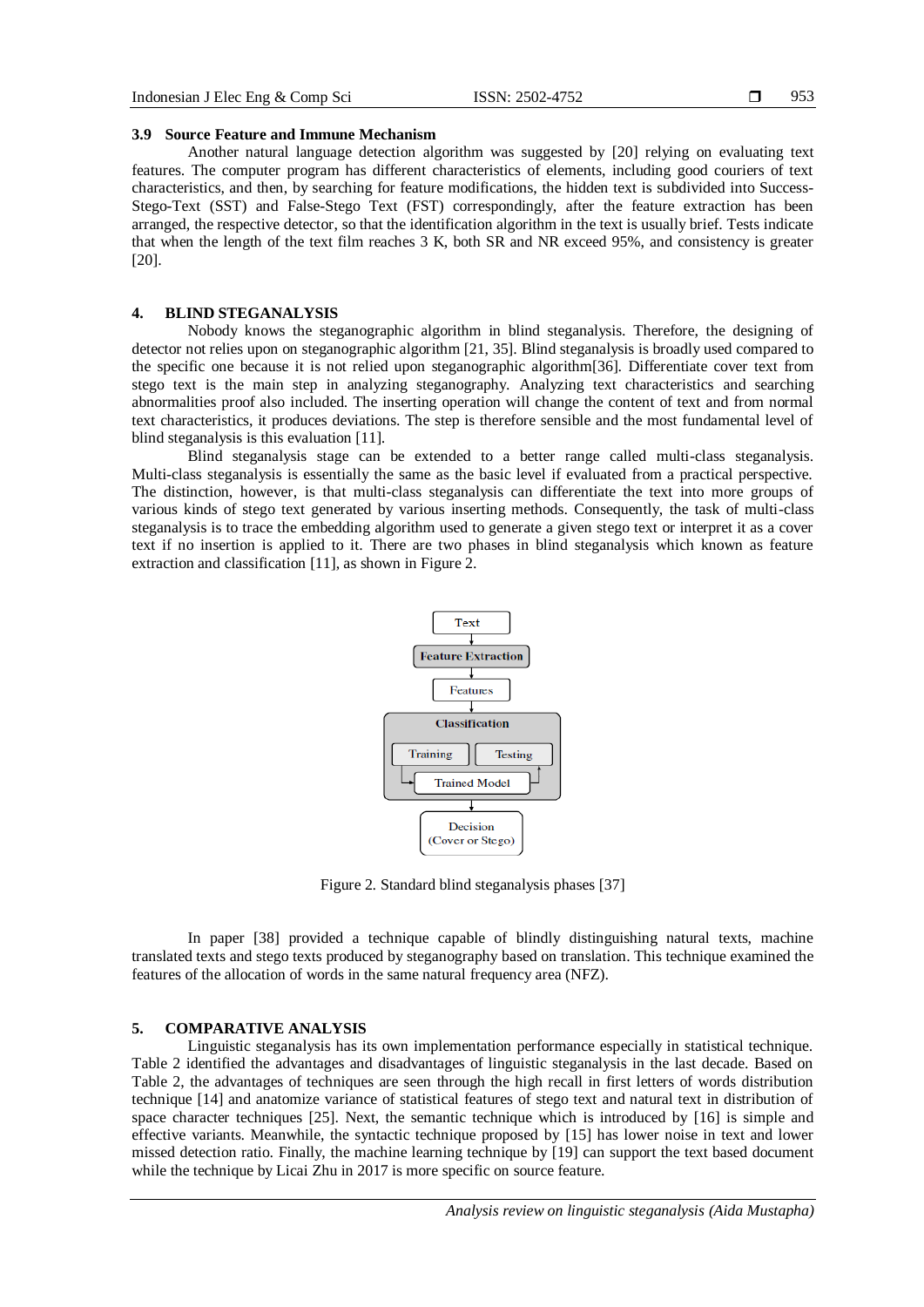953

## **3.9 Source Feature and Immune Mechanism**

Another natural language detection algorithm was suggested by [20] relying on evaluating text features. The computer program has different characteristics of elements, including good couriers of text characteristics, and then, by searching for feature modifications, the hidden text is subdivided into Success-Stego-Text (SST) and False-Stego Text (FST) correspondingly, after the feature extraction has been arranged, the respective detector, so that the identification algorithm in the text is usually brief. Tests indicate that when the length of the text film reaches 3 K, both SR and NR exceed 95%, and consistency is greater [20].

## **4. BLIND STEGANALYSIS**

Nobody knows the steganographic algorithm in blind steganalysis. Therefore, the designing of detector not relies upon on steganographic algorithm [21, 35]. Blind steganalysis is broadly used compared to the specific one because it is not relied upon steganographic algorithm[36]. Differentiate cover text from stego text is the main step in analyzing steganography. Analyzing text characteristics and searching abnormalities proof also included. The inserting operation will change the content of text and from normal text characteristics, it produces deviations. The step is therefore sensible and the most fundamental level of blind steganalysis is this evaluation [11].

Blind steganalysis stage can be extended to a better range called multi-class steganalysis. Multi-class steganalysis is essentially the same as the basic level if evaluated from a practical perspective. The distinction, however, is that multi-class steganalysis can differentiate the text into more groups of various kinds of stego text generated by various inserting methods. Consequently, the task of multi-class steganalysis is to trace the embedding algorithm used to generate a given stego text or interpret it as a cover text if no insertion is applied to it. There are two phases in blind steganalysis which known as feature extraction and classification [11], as shown in Figure 2.



Figure 2. Standard blind steganalysis phases [37]

In paper [38] provided a technique capable of blindly distinguishing natural texts, machine translated texts and stego texts produced by steganography based on translation. This technique examined the features of the allocation of words in the same natural frequency area (NFZ).

## **5. COMPARATIVE ANALYSIS**

Linguistic steganalysis has its own implementation performance especially in statistical technique. Table 2 identified the advantages and disadvantages of linguistic steganalysis in the last decade. Based on Table 2, the advantages of techniques are seen through the high recall in first letters of words distribution technique [14] and anatomize variance of statistical features of stego text and natural text in distribution of space character techniques [25]. Next, the semantic technique which is introduced by [16] is simple and effective variants. Meanwhile, the syntactic technique proposed by [15] has lower noise in text and lower missed detection ratio. Finally, the machine learning technique by [19] can support the text based document while the technique by Licai Zhu in 2017 is more specific on source feature.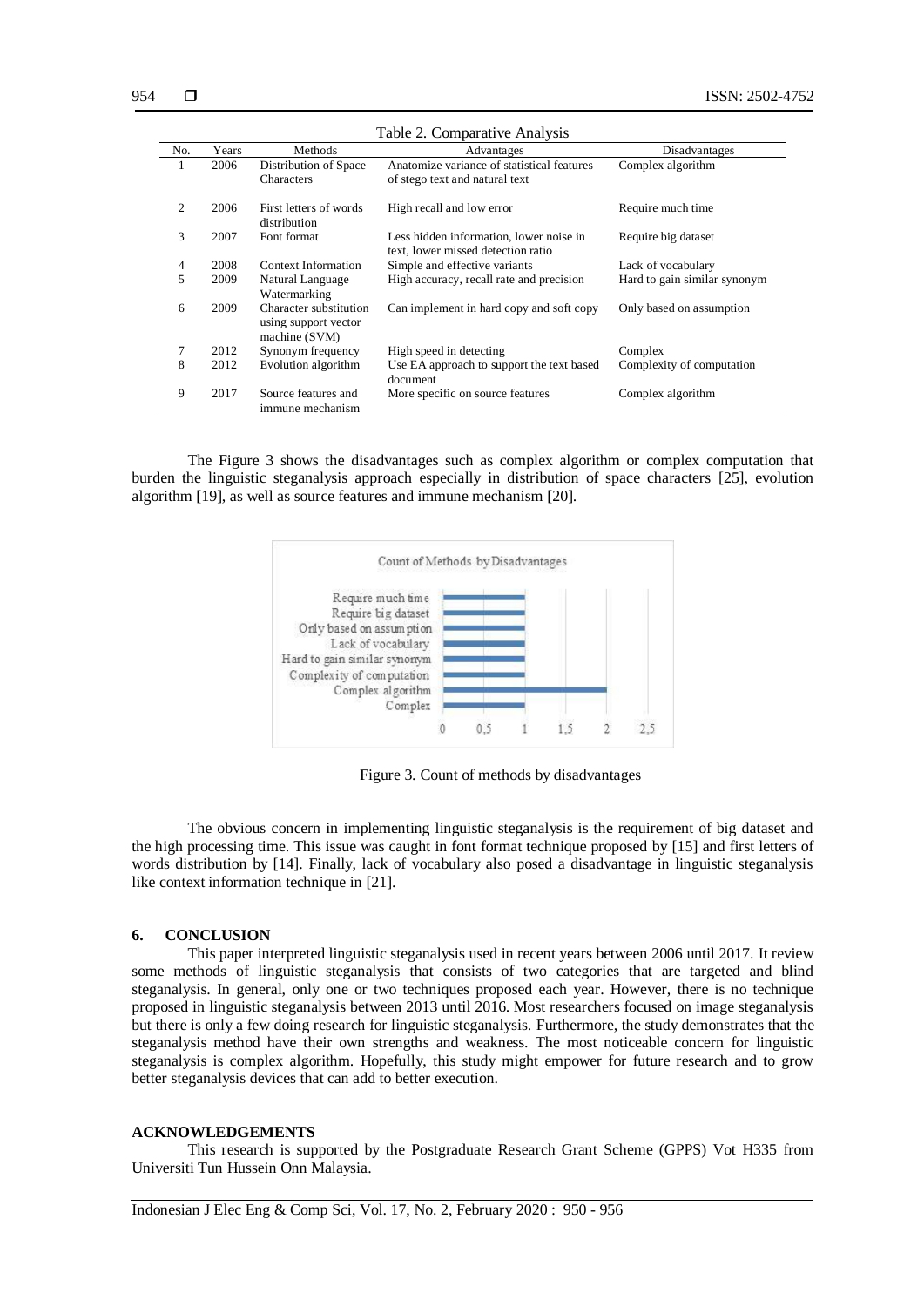| Table 2. Comparative Analysis |       |                                                                 |                                                                               |                              |  |
|-------------------------------|-------|-----------------------------------------------------------------|-------------------------------------------------------------------------------|------------------------------|--|
| No.                           | Years | Methods                                                         | Advantages                                                                    | Disadvantages                |  |
| 1                             | 2006  | Distribution of Space<br><b>Characters</b>                      | Anatomize variance of statistical features<br>of stego text and natural text  | Complex algorithm            |  |
| 2                             | 2006  | First letters of words<br>distribution                          | High recall and low error                                                     | Require much time            |  |
| 3                             | 2007  | Font format                                                     | Less hidden information, lower noise in<br>text, lower missed detection ratio | Require big dataset          |  |
| 4                             | 2008  | Context Information                                             | Simple and effective variants                                                 | Lack of vocabulary           |  |
| 5                             | 2009  | Natural Language<br>Watermarking                                | High accuracy, recall rate and precision                                      | Hard to gain similar synonym |  |
| 6                             | 2009  | Character substitution<br>using support vector<br>machine (SVM) | Can implement in hard copy and soft copy                                      | Only based on assumption     |  |
| 7                             | 2012  | Synonym frequency                                               | High speed in detecting                                                       | Complex                      |  |
| 8                             | 2012  | Evolution algorithm                                             | Use EA approach to support the text based<br>document                         | Complexity of computation    |  |
| 9                             | 2017  | Source features and<br>immune mechanism                         | More specific on source features                                              | Complex algorithm            |  |

The Figure 3 shows the disadvantages such as complex algorithm or complex computation that burden the linguistic steganalysis approach especially in distribution of space characters [25], evolution algorithm [19], as well as source features and immune mechanism [20].



Figure 3. Count of methods by disadvantages

The obvious concern in implementing linguistic steganalysis is the requirement of big dataset and the high processing time. This issue was caught in font format technique proposed by [15] and first letters of words distribution by [14]. Finally, lack of vocabulary also posed a disadvantage in linguistic steganalysis like context information technique in [21].

#### **6. CONCLUSION**

This paper interpreted linguistic steganalysis used in recent years between 2006 until 2017. It review some methods of linguistic steganalysis that consists of two categories that are targeted and blind steganalysis. In general, only one or two techniques proposed each year. However, there is no technique proposed in linguistic steganalysis between 2013 until 2016. Most researchers focused on image steganalysis but there is only a few doing research for linguistic steganalysis. Furthermore, the study demonstrates that the steganalysis method have their own strengths and weakness. The most noticeable concern for linguistic steganalysis is complex algorithm. Hopefully, this study might empower for future research and to grow better steganalysis devices that can add to better execution.

#### **ACKNOWLEDGEMENTS**

This research is supported by the Postgraduate Research Grant Scheme (GPPS) Vot H335 from Universiti Tun Hussein Onn Malaysia.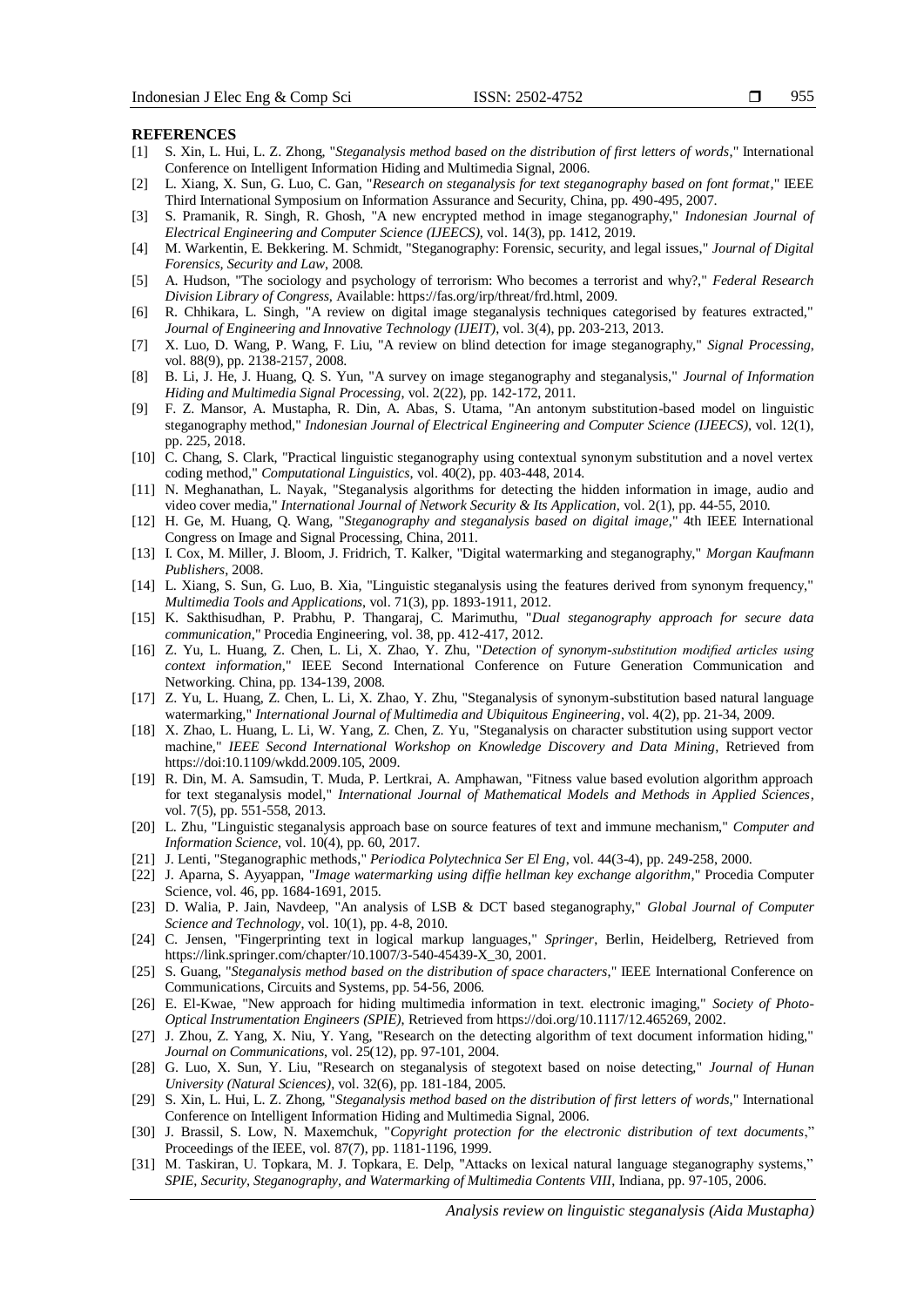#### **REFERENCES**

- [1] S. Xin, L. Hui, L. Z. Zhong, "*Steganalysis method based on the distribution of first letters of words*," International Conference on Intelligent Information Hiding and Multimedia Signal, 2006.
- [2] L. Xiang, X. Sun, G. Luo, C. Gan, "*Research on steganalysis for text steganography based on font format*," IEEE Third International Symposium on Information Assurance and Security, China, pp. 490-495, 2007.
- [3] S. Pramanik, R. Singh, R. Ghosh, "A new encrypted method in image steganography," *Indonesian Journal of Electrical Engineering and Computer Science (IJEECS)*, vol. 14(3), pp. 1412, 2019.
- [4] M. Warkentin, E. Bekkering. M. Schmidt, "Steganography: Forensic, security, and legal issues," *Journal of Digital Forensics, Security and Law*, 2008.
- [5] A. Hudson, "The sociology and psychology of terrorism: Who becomes a terrorist and why?," *Federal Research Division Library of Congress,* Available: https://fas.org/irp/threat/frd.html, 2009.
- [6] R. Chhikara, L. Singh, "A review on digital image steganalysis techniques categorised by features extracted," *Journal of Engineering and Innovative Technology (IJEIT)*, vol. 3(4), pp. 203-213, 2013.
- [7] X. Luo, D. Wang, P. Wang, F. Liu, "A review on blind detection for image steganography," *Signal Processing*, vol. 88(9), pp. 2138-2157, 2008.
- [8] B. Li, J. He, J. Huang, Q. S. Yun, "A survey on image steganography and steganalysis," *Journal of Information Hiding and Multimedia Signal Processing*, vol. 2(22), pp. 142-172, 2011.
- [9] F. Z. Mansor, A. Mustapha, R. Din, A. Abas, S. Utama, "An antonym substitution-based model on linguistic steganography method," *Indonesian Journal of Electrical Engineering and Computer Science (IJEECS)*, vol. 12(1), pp. 225, 2018.
- [10] C. Chang, S. Clark, "Practical linguistic steganography using contextual synonym substitution and a novel vertex coding method," *Computational Linguistics*, vol. 40(2), pp. 403-448, 2014.
- [11] N. Meghanathan, L. Nayak, "Steganalysis algorithms for detecting the hidden information in image, audio and video cover media," *International Journal of Network Security & Its Application*, vol. 2(1), pp. 44-55, 2010.
- [12] H. Ge, M. Huang, Q. Wang, "*Steganography and steganalysis based on digital image*," 4th IEEE International Congress on Image and Signal Processing, China, 2011.
- [13] I. Cox, M. Miller, J. Bloom, J. Fridrich, T. Kalker, "Digital watermarking and steganography," *Morgan Kaufmann Publishers*, 2008.
- [14] L. Xiang, S. Sun, G. Luo, B. Xia, "Linguistic steganalysis using the features derived from synonym frequency," *Multimedia Tools and Applications*, vol. 71(3), pp. 1893-1911, 2012.
- [15] K. Sakthisudhan, P. Prabhu, P. Thangaraj, C. Marimuthu, "*Dual steganography approach for secure data communication*," Procedia Engineering, vol. 38, pp. 412-417, 2012.
- [16] Z. Yu, L. Huang, Z. Chen, L. Li, X. Zhao, Y. Zhu, "*Detection of synonym-substitution modified articles using context information*," IEEE Second International Conference on Future Generation Communication and Networking. China, pp. 134-139, 2008.
- [17] Z. Yu, L. Huang, Z. Chen, L. Li, X. Zhao, Y. Zhu, "Steganalysis of synonym-substitution based natural language watermarking," *International Journal of Multimedia and Ubiquitous Engineering*, vol. 4(2), pp. 21-34, 2009.
- [18] X. Zhao, L. Huang, L. Li, W. Yang, Z. Chen, Z. Yu, "Steganalysis on character substitution using support vector machine," *IEEE Second International Workshop on Knowledge Discovery and Data Mining*, Retrieved from https://doi:10.1109/wkdd.2009.105, 2009.
- [19] R. Din, M. A. Samsudin, T. Muda, P. Lertkrai, A. Amphawan, "Fitness value based evolution algorithm approach for text steganalysis model," *International Journal of Mathematical Models and Methods in Applied Sciences*, vol. 7(5), pp. 551-558, 2013.
- [20] L. Zhu, "Linguistic steganalysis approach base on source features of text and immune mechanism," *Computer and Information Science*, vol. 10(4), pp. 60, 2017.
- [21] J. Lenti, "Steganographic methods," *Periodica Polytechnica Ser El Eng*, vol. 44(3-4), pp. 249-258, 2000.
- [22] J. Aparna, S. Ayyappan, "*Image watermarking using diffie hellman key exchange algorithm*," Procedia Computer Science, vol. 46, pp. 1684-1691, 2015.
- [23] D. Walia, P. Jain, Navdeep, "An analysis of LSB & DCT based steganography," *Global Journal of Computer Science and Technology*, vol. 10(1), pp. 4-8, 2010.
- [24] C. Jensen, "Fingerprinting text in logical markup languages," *Springer*, Berlin, Heidelberg, Retrieved from https://link.springer.com/chapter/10.1007/3-540-45439-X\_30, 2001.
- [25] S. Guang, "*Steganalysis method based on the distribution of space characters*," IEEE International Conference on Communications, Circuits and Systems, pp. 54-56, 2006.
- [26] E. El-Kwae, "New approach for hiding multimedia information in text. electronic imaging," *Society of Photo-Optical Instrumentation Engineers (SPIE)*, Retrieved from https://doi.org/10.1117/12.465269, 2002.
- [27] J. Zhou, Z. Yang, X. Niu, Y. Yang, "Research on the detecting algorithm of text document information hiding," *Journal on Communications*, vol. 25(12), pp. 97-101, 2004.
- [28] G. Luo, X. Sun, Y. Liu, "Research on steganalysis of stegotext based on noise detecting," *Journal of Hunan University (Natural Sciences)*, vol. 32(6), pp. 181-184, 2005.
- [29] S. Xin, L. Hui, L. Z. Zhong, "*Steganalysis method based on the distribution of first letters of words*," International Conference on Intelligent Information Hiding and Multimedia Signal, 2006.
- [30] J. Brassil, S. Low, N. Maxemchuk, "*Copyright protection for the electronic distribution of text documents*," Proceedings of the IEEE, vol. 87(7), pp. 1181-1196, 1999.
- [31] M. Taskiran, U. Topkara, M. J. Topkara, E. Delp, "Attacks on lexical natural language steganography systems," *SPIE, Security, Steganography, and Watermarking of Multimedia Contents VIII*, Indiana, pp. 97-105, 2006.